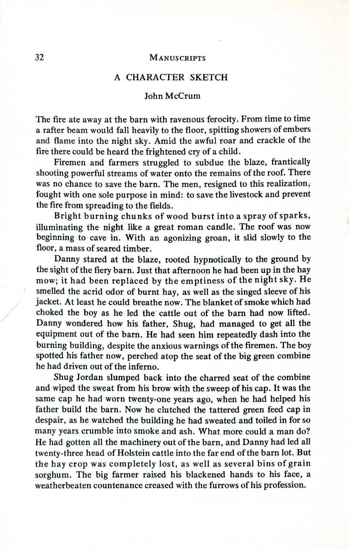## 32 MANUSCRIPTS

## A CHARACTER SKETCH

## John McCrum

The fire ate away at the barn with ravenous ferocity. From time to time a rafter beam would fall heavily to the floor, spitting showers of embers and flame into the night sky. Amid the awful roar and crackle of the fire there could be heard the frightened cry of a child.

Firemen and farmers struggled to subdue the blaze, frantically shooting powerful streams of water onto the remains of the roof. There was no chance to save the barn. The men, resigned to this realization, fought with one sole purpose in mind: to save the livestock and prevent the fire from spreading to the fields.

Bright burning chunks of wood burst into a spray of sparks, illuminating the night like a great roman candle. The roof was now beginning to cave in. With an agonizing groan, it slid slowly to the floor, a mass of seared timber.

Danny stared at the blaze, rooted hypnotically to the ground by the sight of the fiery barn. Just that afternoon he had been up in the hay mow; it had been replaced by the emptiness of the night sky. He smelled the acrid odor of burnt hay, as well as the singed sleeve of his jacket. At least he could breathe now. The blanket of smoke which had choked the boy as he led the cattle out of the barn had now lifted. Danny wondered how his father, Shug, had managed to get all the equipment out of the barn. He had seen him repeatedly dash into the burning building, despite the anxious warnings of the firemen. The boy spotted his father now, perched atop the seat of the big green combine he had driven out of the inferno.

Shug Jordan slumped back into the charred seat of the combine and wiped the sweat from his brow with the sweep of his cap. Itwas the same cap he had worn twenty-one years ago, when he had helped his father build the barn. Now he clutched the tattered green feed cap in despair, as he watched the building he had sweated and toiled in for so many years crumble into smoke and ash. What more could a man do? He had gotten all the machinery out of the barn, and Danny had led all twenty-three head of Holstein cattle into the far end of the barn lot. But the hay crop was completely lost, as well as several bins of grain sorghum. The big farmer raised his blackened hands to his face, a weatherbeaten countenance creased with the furrows of his profession.

/